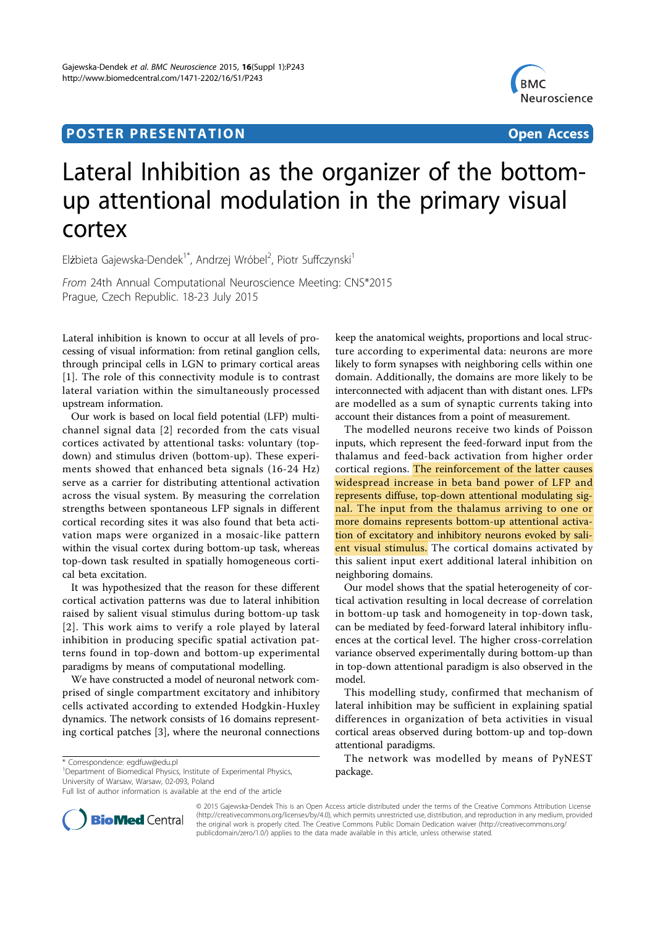## **POSTER PRESENTATION CONSUMING THE CONSUMING OPEN ACCESS**



# Lateral Inhibition as the organizer of the bottomup attentional modulation in the primary visual cortex

Elżbieta Gajewska-Dendek<sup>1\*</sup>, Andrzej Wróbel<sup>2</sup>, Piotr Suffczynski<sup>1</sup>

From 24th Annual Computational Neuroscience Meeting: CNS\*2015 Prague, Czech Republic. 18-23 July 2015

Lateral inhibition is known to occur at all levels of processing of visual information: from retinal ganglion cells, through principal cells in LGN to primary cortical areas [1]. The role of this connectivity module is to contrast lateral variation within the simultaneously processed upstream information.

Our work is based on local field potential (LFP) multichannel signal data [2] recorded from the cats visual cortices activated by attentional tasks: voluntary (topdown) and stimulus driven (bottom-up). These experiments showed that enhanced beta signals (16-24 Hz) serve as a carrier for distributing attentional activation across the visual system. By measuring the correlation strengths between spontaneous LFP signals in different cortical recording sites it was also found that beta activation maps were organized in a mosaic-like pattern within the visual cortex during bottom-up task, whereas top-down task resulted in spatially homogeneous cortical beta excitation.

It was hypothesized that the reason for these different cortical activation patterns was due to lateral inhibition raised by salient visual stimulus during bottom-up task [2]. This work aims to verify a role played by lateral inhibition in producing specific spatial activation patterns found in top-down and bottom-up experimental paradigms by means of computational modelling.

We have constructed a model of neuronal network comprised of single compartment excitatory and inhibitory cells activated according to extended Hodgkin-Huxley dynamics. The network consists of 16 domains representing cortical patches [3], where the neuronal connections

<sup>1</sup>Department of Biomedical Physics, Institute of Experimental Physics, University of Warsaw, Warsaw, 02-093, Poland

Full list of author information is available at the end of the article



The modelled neurons receive two kinds of Poisson inputs, which represent the feed-forward input from the thalamus and feed-back activation from higher order cortical regions. The reinforcement of the latter causes widespread increase in beta band power of LFP and represents diffuse, top-down attentional modulating signal. The input from the thalamus arriving to one or more domains represents bottom-up attentional activation of excitatory and inhibitory neurons evoked by salient visual stimulus. The cortical domains activated by this salient input exert additional lateral inhibition on neighboring domains.

Our model shows that the spatial heterogeneity of cortical activation resulting in local decrease of correlation in bottom-up task and homogeneity in top-down task, can be mediated by feed-forward lateral inhibitory influences at the cortical level. The higher cross-correlation variance observed experimentally during bottom-up than in top-down attentional paradigm is also observed in the model.

This modelling study, confirmed that mechanism of lateral inhibition may be sufficient in explaining spatial differences in organization of beta activities in visual cortical areas observed during bottom-up and top-down attentional paradigms.

The network was modelled by means of PyNEST package.



© 2015 Gajewska-Dendek This is an Open Access article distributed under the terms of the Creative Commons Attribution License (http://creativecommons.org/licenses/by/4.0), which permits unrestricted use, distribution, and reproduction in any medium, provided the original work is properly cited. The Creative Commons Public Domain Dedication waiver (http://creativecommons.org/ publicdomain/zero/1.0/) applies to the data made available in this article, unless otherwise stated.

<sup>\*</sup> Correspondence: egdfuw@edu.pl